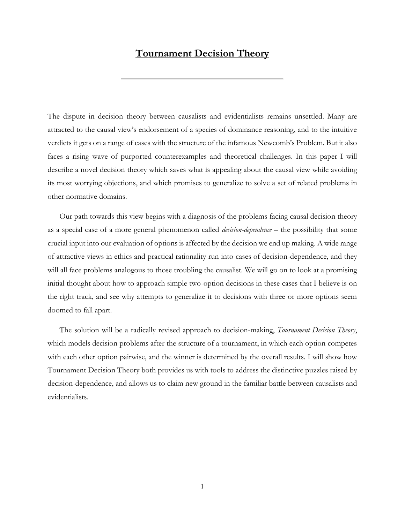# **Tournament Decision Theory**

The dispute in decision theory between causalists and evidentialists remains unsettled. Many are attracted to the causal view's endorsement of a species of dominance reasoning, and to the intuitive verdicts it gets on a range of cases with the structure of the infamous Newcomb's Problem. But it also faces a rising wave of purported counterexamples and theoretical challenges. In this paper I will describe a novel decision theory which saves what is appealing about the causal view while avoiding its most worrying objections, and which promises to generalize to solve a set of related problems in other normative domains.

Our path towards this view begins with a diagnosis of the problems facing causal decision theory as a special case of a more general phenomenon called *decision-dependence* – the possibility that some crucial input into our evaluation of options is affected by the decision we end up making. A wide range of attractive views in ethics and practical rationality run into cases of decision-dependence, and they will all face problems analogous to those troubling the causalist. We will go on to look at a promising initial thought about how to approach simple two-option decisions in these cases that I believe is on the right track, and see why attempts to generalize it to decisions with three or more options seem doomed to fall apart.

The solution will be a radically revised approach to decision-making, *Tournament Decision Theory*, which models decision problems after the structure of a tournament, in which each option competes with each other option pairwise, and the winner is determined by the overall results. I will show how Tournament Decision Theory both provides us with tools to address the distinctive puzzles raised by decision-dependence, and allows us to claim new ground in the familiar battle between causalists and evidentialists.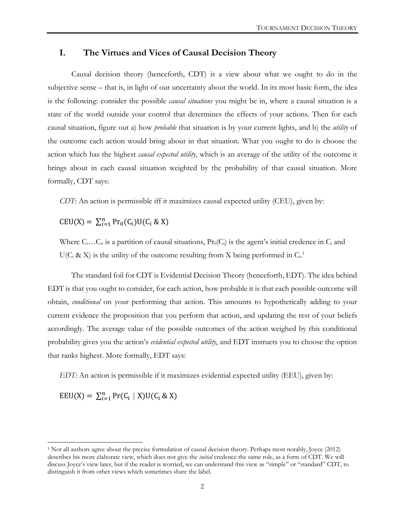## **I. The Virtues and Vices of Causal Decision Theory**

Causal decision theory (henceforth, CDT) is a view about what we ought to do in the subjective sense – that is, in light of our uncertainty about the world. In its most basic form, the idea is the following: consider the possible *causal situations* you might be in, where a causal situation is a state of the world outside your control that determines the effects of your actions. Then for each causal situation, figure out a) how *probable* that situation is by your current lights, and b) the *utility* of the outcome each action would bring about in that situation. What you ought to do is choose the action which has the highest *causal expected utility*, which is an average of the utility of the outcome it brings about in each causal situation weighted by the probability of that causal situation. More formally, CDT says:

*CDT*: An action is permissible iff it maximizes causal expected utility (CEU), given by:

 $CEU(X) = \sum_{i=1}^{n} Pr_0(C_i)U(C_i \& X)$ 

Where  $C_i...C_n$  is a partition of causal situations,  $Pr_0(C_i)$  is the agent's initial credence in  $C_i$  and U( $C_i$  & X) is the utility of the outcome resulting from X being performed in  $C_i$ .

The standard foil for CDT is Evidential Decision Theory (henceforth, EDT). The idea behind EDT is that you ought to consider, for each action, how probable it is that each possible outcome will obtain, *conditional* on your performing that action. This amounts to hypothetically adding to your current evidence the proposition that you perform that action, and updating the rest of your beliefs accordingly. The average value of the possible outcomes of the action weighed by this conditional probability gives you the action's *evidential expected utility*, and EDT instructs you to choose the option that ranks highest. More formally, EDT says:

*EDT:* An action is permissible if it maximizes evidential expected utility (EEU), given by:

 $EEU(X) = \sum_{i=1}^{n} Pr(C_i | X)U(C_i \& X)$ 

<sup>1</sup> Not all authors agree about the precise formulation of causal decision theory. Perhaps most notably, Joyce (2012) describes his more elaborate view, which does not give the *initial* credence the same role, as a form of CDT. We will discuss Joyce's view later, but if the reader is worried, we can understand this view as "simple" or "standard" CDT, to distinguish it from other views which sometimes share the label.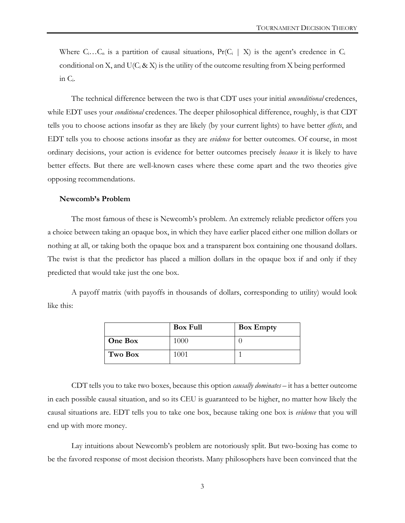Where  $C_i$ … $C_n$  is a partition of causal situations,  $Pr(C_i | X)$  is the agent's credence in  $C_i$ conditional on X, and  $U(C_i \& X)$  is the utility of the outcome resulting from X being performed in Ci.

The technical difference between the two is that CDT uses your initial *unconditional* credences, while EDT uses your *conditional* credences. The deeper philosophical difference, roughly, is that CDT tells you to choose actions insofar as they are likely (by your current lights) to have better *effects*, and EDT tells you to choose actions insofar as they are *evidence* for better outcomes. Of course, in most ordinary decisions, your action is evidence for better outcomes precisely *because* it is likely to have better effects. But there are well-known cases where these come apart and the two theories give opposing recommendations.

#### **Newcomb's Problem**

The most famous of these is Newcomb's problem. An extremely reliable predictor offers you a choice between taking an opaque box, in which they have earlier placed either one million dollars or nothing at all, or taking both the opaque box and a transparent box containing one thousand dollars. The twist is that the predictor has placed a million dollars in the opaque box if and only if they predicted that would take just the one box.

A payoff matrix (with payoffs in thousands of dollars, corresponding to utility) would look like this:

|         | <b>Box Full</b> | <b>Box Empty</b> |
|---------|-----------------|------------------|
| One Box | 1000            |                  |
| Two Box | 1001            |                  |

CDT tells you to take two boxes, because this option *causally dominates* – it has a better outcome in each possible causal situation, and so its CEU is guaranteed to be higher, no matter how likely the causal situations are. EDT tells you to take one box, because taking one box is *evidence* that you will end up with more money.

Lay intuitions about Newcomb's problem are notoriously split. But two-boxing has come to be the favored response of most decision theorists. Many philosophers have been convinced that the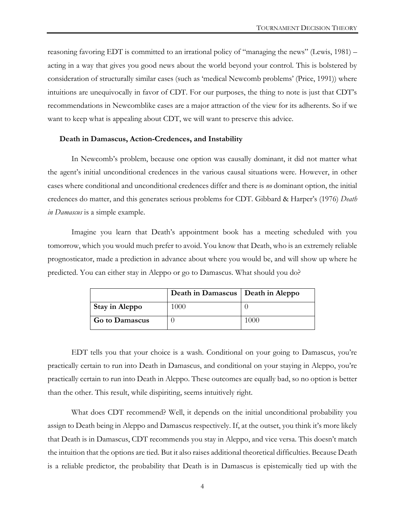reasoning favoring EDT is committed to an irrational policy of "managing the news" (Lewis, 1981) – acting in a way that gives you good news about the world beyond your control. This is bolstered by consideration of structurally similar cases (such as 'medical Newcomb problems' (Price, 1991)) where intuitions are unequivocally in favor of CDT. For our purposes, the thing to note is just that CDT's recommendations in Newcomblike cases are a major attraction of the view for its adherents. So if we want to keep what is appealing about CDT, we will want to preserve this advice.

#### **Death in Damascus, Action-Credences, and Instability**

In Newcomb's problem, because one option was causally dominant, it did not matter what the agent's initial unconditional credences in the various causal situations were. However, in other cases where conditional and unconditional credences differ and there is *no* dominant option, the initial credences do matter, and this generates serious problems for CDT. Gibbard & Harper's (1976) *Death in Damascus* is a simple example.

Imagine you learn that Death's appointment book has a meeting scheduled with you tomorrow, which you would much prefer to avoid. You know that Death, who is an extremely reliable prognosticator, made a prediction in advance about where you would be, and will show up where he predicted. You can either stay in Aleppo or go to Damascus. What should you do?

|                       | Death in Damascus   Death in Aleppo |      |
|-----------------------|-------------------------------------|------|
| <b>Stay in Aleppo</b> | 1000                                |      |
| <b>Go to Damascus</b> |                                     | 1000 |

EDT tells you that your choice is a wash. Conditional on your going to Damascus, you're practically certain to run into Death in Damascus, and conditional on your staying in Aleppo, you're practically certain to run into Death in Aleppo. These outcomes are equally bad, so no option is better than the other. This result, while dispiriting, seems intuitively right.

What does CDT recommend? Well, it depends on the initial unconditional probability you assign to Death being in Aleppo and Damascus respectively. If, at the outset, you think it's more likely that Death is in Damascus, CDT recommends you stay in Aleppo, and vice versa. This doesn't match the intuition that the options are tied. But it also raises additional theoretical difficulties. Because Death is a reliable predictor, the probability that Death is in Damascus is epistemically tied up with the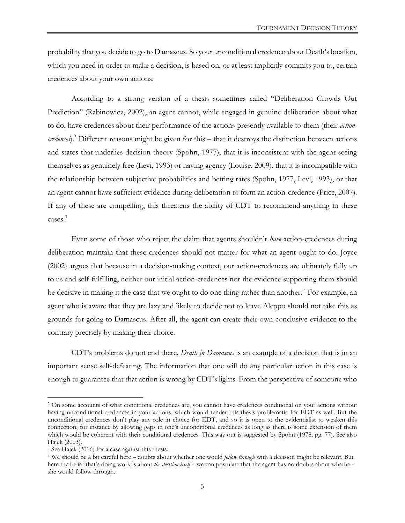probability that you decide to go to Damascus. So your unconditional credence about Death's location, which you need in order to make a decision, is based on, or at least implicitly commits you to, certain credences about your own actions.

According to a strong version of a thesis sometimes called "Deliberation Crowds Out Prediction" (Rabinowicz, 2002), an agent cannot, while engaged in genuine deliberation about what to do, have credences about their performance of the actions presently available to them (their *actioncredences*). <sup>2</sup> Different reasons might be given for this – that it destroys the distinction between actions and states that underlies decision theory (Spohn, 1977), that it is inconsistent with the agent seeing themselves as genuinely free (Levi, 1993) or having agency (Louise, 2009), that it is incompatible with the relationship between subjective probabilities and betting rates (Spohn, 1977, Levi, 1993), or that an agent cannot have sufficient evidence during deliberation to form an action-credence (Price, 2007). If any of these are compelling, this threatens the ability of CDT to recommend anything in these cases.<sup>3</sup>

Even some of those who reject the claim that agents shouldn't *have* action-credences during deliberation maintain that these credences should not matter for what an agent ought to do. Joyce (2002) argues that because in a decision-making context, our action-credences are ultimately fully up to us and self-fulfilling, neither our initial action-credences nor the evidence supporting them should be decisive in making it the case that we ought to do one thing rather than another.<sup>4</sup> For example, an agent who is aware that they are lazy and likely to decide not to leave Aleppo should not take this as grounds for going to Damascus. After all, the agent can create their own conclusive evidence to the contrary precisely by making their choice.

CDT's problems do not end there. *Death in Damascus* is an example of a decision that is in an important sense self-defeating. The information that one will do any particular action in this case is enough to guarantee that that action is wrong by CDT's lights. From the perspective of someone who

<sup>&</sup>lt;sup>2</sup> On some accounts of what conditional credences are, you cannot have credences conditional on your actions without having unconditional credences in your actions, which would render this thesis problematic for EDT as well. But the unconditional credences don't play any role in choice for EDT, and so it is open to the evidentialist to weaken this connection, for instance by allowing gaps in one's unconditional credences as long as there is some extension of them which would be coherent with their conditional credences. This way out is suggested by Spohn (1978, pg. 77). See also Hajek (2003).

<sup>3</sup> See Hajek (2016) for a case against this thesis.

<sup>4</sup> We should be a bit careful here – doubts about whether one would *follow through* with a decision might be relevant. But here the belief that's doing work is about *the decision itself* – we can postulate that the agent has no doubts about whether she would follow through.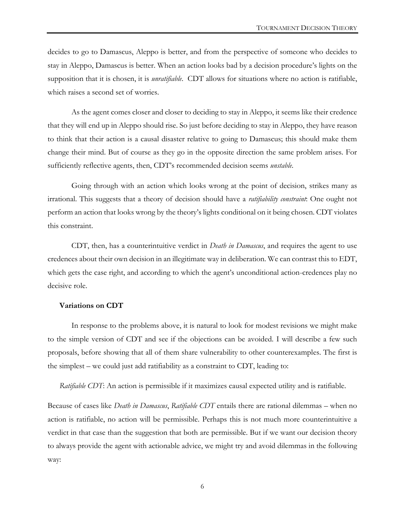decides to go to Damascus, Aleppo is better, and from the perspective of someone who decides to stay in Aleppo, Damascus is better. When an action looks bad by a decision procedure's lights on the supposition that it is chosen, it is *unratifiable*. CDT allows for situations where no action is ratifiable, which raises a second set of worries.

As the agent comes closer and closer to deciding to stay in Aleppo, it seems like their credence that they will end up in Aleppo should rise. So just before deciding to stay in Aleppo, they have reason to think that their action is a causal disaster relative to going to Damascus; this should make them change their mind. But of course as they go in the opposite direction the same problem arises. For sufficiently reflective agents, then, CDT's recommended decision seems *unstable*.

Going through with an action which looks wrong at the point of decision, strikes many as irrational. This suggests that a theory of decision should have a *ratifiability constraint*: One ought not perform an action that looks wrong by the theory's lights conditional on it being chosen. CDT violates this constraint.

CDT, then, has a counterintuitive verdict in *Death in Damascus*, and requires the agent to use credences about their own decision in an illegitimate way in deliberation. We can contrast this to EDT, which gets the case right, and according to which the agent's unconditional action-credences play no decisive role.

#### **Variations on CDT**

In response to the problems above, it is natural to look for modest revisions we might make to the simple version of CDT and see if the objections can be avoided. I will describe a few such proposals, before showing that all of them share vulnerability to other counterexamples. The first is the simplest – we could just add ratifiability as a constraint to CDT, leading to:

*Ratifiable CDT*: An action is permissible if it maximizes causal expected utility and is ratifiable.

Because of cases like *Death in Damascus*, *Ratifiable CDT* entails there are rational dilemmas – when no action is ratifiable, no action will be permissible. Perhaps this is not much more counterintuitive a verdict in that case than the suggestion that both are permissible. But if we want our decision theory to always provide the agent with actionable advice, we might try and avoid dilemmas in the following way: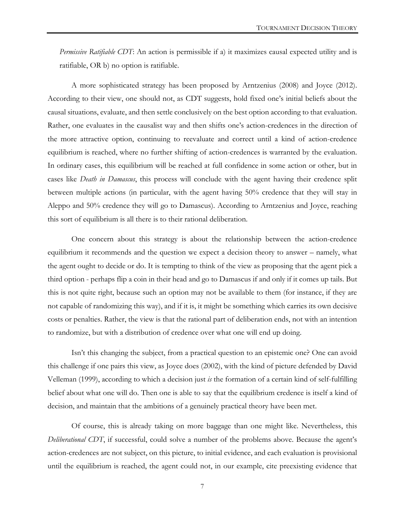*Permissive Ratifiable CDT*: An action is permissible if a) it maximizes causal expected utility and is ratifiable, OR b) no option is ratifiable.

A more sophisticated strategy has been proposed by Arntzenius (2008) and Joyce (2012). According to their view, one should not, as CDT suggests, hold fixed one's initial beliefs about the causal situations, evaluate, and then settle conclusively on the best option according to that evaluation. Rather, one evaluates in the causalist way and then shifts one's action-credences in the direction of the more attractive option, continuing to reevaluate and correct until a kind of action-credence equilibrium is reached, where no further shifting of action-credences is warranted by the evaluation. In ordinary cases, this equilibrium will be reached at full confidence in some action or other, but in cases like *Death in Damascus*, this process will conclude with the agent having their credence split between multiple actions (in particular, with the agent having 50% credence that they will stay in Aleppo and 50% credence they will go to Damascus). According to Arntzenius and Joyce, reaching this sort of equilibrium is all there is to their rational deliberation.

One concern about this strategy is about the relationship between the action-credence equilibrium it recommends and the question we expect a decision theory to answer – namely, what the agent ought to decide or do. It is tempting to think of the view as proposing that the agent pick a third option - perhaps flip a coin in their head and go to Damascus if and only if it comes up tails. But this is not quite right, because such an option may not be available to them (for instance, if they are not capable of randomizing this way), and if it is, it might be something which carries its own decisive costs or penalties. Rather, the view is that the rational part of deliberation ends, not with an intention to randomize, but with a distribution of credence over what one will end up doing.

Isn't this changing the subject, from a practical question to an epistemic one? One can avoid this challenge if one pairs this view, as Joyce does (2002), with the kind of picture defended by David Velleman (1999), according to which a decision just *is* the formation of a certain kind of self-fulfilling belief about what one will do. Then one is able to say that the equilibrium credence is itself a kind of decision, and maintain that the ambitions of a genuinely practical theory have been met.

Of course, this is already taking on more baggage than one might like. Nevertheless, this *Deliberational CDT*, if successful, could solve a number of the problems above. Because the agent's action-credences are not subject, on this picture, to initial evidence, and each evaluation is provisional until the equilibrium is reached, the agent could not, in our example, cite preexisting evidence that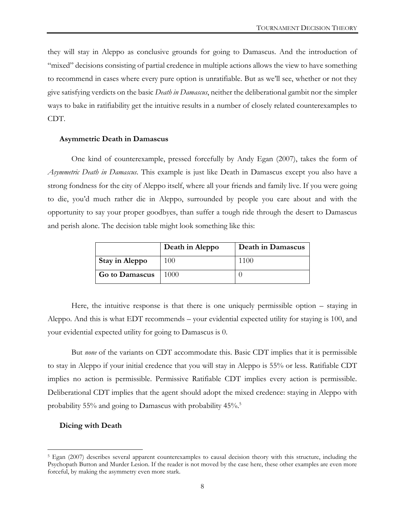they will stay in Aleppo as conclusive grounds for going to Damascus. And the introduction of "mixed" decisions consisting of partial credence in multiple actions allows the view to have something to recommend in cases where every pure option is unratifiable. But as we'll see, whether or not they give satisfying verdicts on the basic *Death in Damascus*, neither the deliberational gambit nor the simpler ways to bake in ratifiability get the intuitive results in a number of closely related counterexamples to CDT.

#### **Asymmetric Death in Damascus**

One kind of counterexample, pressed forcefully by Andy Egan (2007), takes the form of *Asymmetric Death in Damascus*. This example is just like Death in Damascus except you also have a strong fondness for the city of Aleppo itself, where all your friends and family live. If you were going to die, you'd much rather die in Aleppo, surrounded by people you care about and with the opportunity to say your proper goodbyes, than suffer a tough ride through the desert to Damascus and perish alone. The decision table might look something like this:

|                       | Death in Aleppo | Death in Damascus |
|-----------------------|-----------------|-------------------|
| <b>Stay in Aleppo</b> | 100             | 1100              |
| Go to Damascus        | 1000            |                   |

Here, the intuitive response is that there is one uniquely permissible option – staying in Aleppo. And this is what EDT recommends – your evidential expected utility for staying is 100, and your evidential expected utility for going to Damascus is 0.

But *none* of the variants on CDT accommodate this. Basic CDT implies that it is permissible to stay in Aleppo if your initial credence that you will stay in Aleppo is 55% or less. Ratifiable CDT implies no action is permissible. Permissive Ratifiable CDT implies every action is permissible. Deliberational CDT implies that the agent should adopt the mixed credence: staying in Aleppo with probability 55% and going to Damascus with probability 45%.<sup>5</sup>

#### **Dicing with Death**

<sup>5</sup> Egan (2007) describes several apparent counterexamples to causal decision theory with this structure, including the Psychopath Button and Murder Lesion. If the reader is not moved by the case here, these other examples are even more forceful, by making the asymmetry even more stark.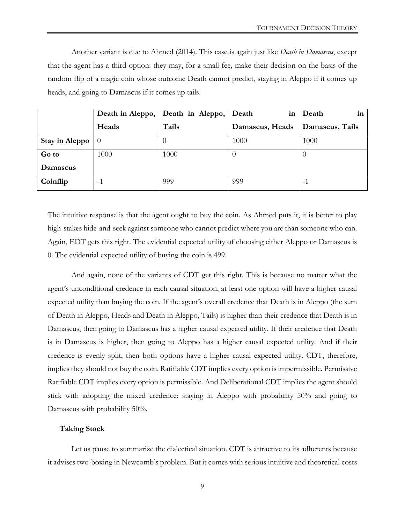Another variant is due to Ahmed (2014). This case is again just like *Death in Damascus*, except that the agent has a third option: they may, for a small fee, make their decision on the basis of the random flip of a magic coin whose outcome Death cannot predict, staying in Aleppo if it comes up heads, and going to Damascus if it comes up tails.

|                       |          | Death in Aleppo,   Death in Aleppo, | Death<br>in     | Death<br>in     |
|-----------------------|----------|-------------------------------------|-----------------|-----------------|
|                       | Heads    | Tails                               | Damascus, Heads | Damascus, Tails |
| <b>Stay in Aleppo</b> | $\theta$ |                                     | 1000            | 1000            |
| Go to                 | 1000     | 1000                                |                 |                 |
| Damascus              |          |                                     |                 |                 |
| Coinflip              | -1       | 999                                 | 999             | - 1             |

The intuitive response is that the agent ought to buy the coin. As Ahmed puts it, it is better to play high-stakes hide-and-seek against someone who cannot predict where you are than someone who can. Again, EDT gets this right. The evidential expected utility of choosing either Aleppo or Damascus is 0. The evidential expected utility of buying the coin is 499.

And again, none of the variants of CDT get this right. This is because no matter what the agent's unconditional credence in each causal situation, at least one option will have a higher causal expected utility than buying the coin. If the agent's overall credence that Death is in Aleppo (the sum of Death in Aleppo, Heads and Death in Aleppo, Tails) is higher than their credence that Death is in Damascus, then going to Damascus has a higher causal expected utility. If their credence that Death is in Damascus is higher, then going to Aleppo has a higher causal expected utility. And if their credence is evenly split, then both options have a higher causal expected utility. CDT, therefore, implies they should not buy the coin. Ratifiable CDT implies every option is impermissible. Permissive Ratifiable CDT implies every option is permissible. And Deliberational CDT implies the agent should stick with adopting the mixed credence: staying in Aleppo with probability 50% and going to Damascus with probability 50%.

#### **Taking Stock**

Let us pause to summarize the dialectical situation. CDT is attractive to its adherents because it advises two-boxing in Newcomb's problem. But it comes with serious intuitive and theoretical costs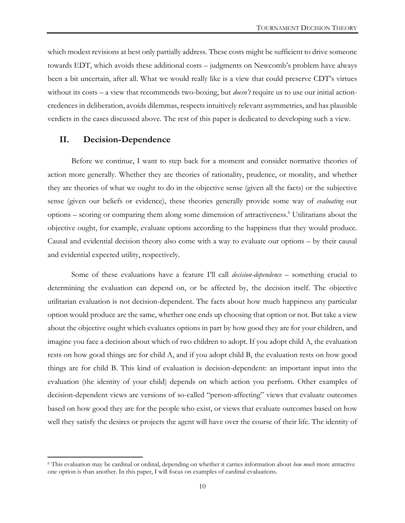which modest revisions at best only partially address. These costs might be sufficient to drive someone towards EDT, which avoids these additional costs – judgments on Newcomb's problem have always been a bit uncertain, after all. What we would really like is a view that could preserve CDT's virtues without its costs – a view that recommends two-boxing, but *doesn't* require us to use our initial actioncredences in deliberation, avoids dilemmas, respects intuitively relevant asymmetries, and has plausible verdicts in the cases discussed above. The rest of this paper is dedicated to developing such a view.

## **II. Decision-Dependence**

Before we continue, I want to step back for a moment and consider normative theories of action more generally. Whether they are theories of rationality, prudence, or morality, and whether they are theories of what we ought to do in the objective sense (given all the facts) or the subjective sense (given our beliefs or evidence), these theories generally provide some way of *evaluating* our options – scoring or comparing them along some dimension of attractiveness. <sup>6</sup> Utilitarians about the objective ought, for example, evaluate options according to the happiness that they would produce. Causal and evidential decision theory also come with a way to evaluate our options – by their causal and evidential expected utility, respectively.

Some of these evaluations have a feature I'll call *decision-dependence* – something crucial to determining the evaluation can depend on, or be affected by, the decision itself. The objective utilitarian evaluation is not decision-dependent. The facts about how much happiness any particular option would produce are the same, whether one ends up choosing that option or not. But take a view about the objective ought which evaluates options in part by how good they are for your children, and imagine you face a decision about which of two children to adopt. If you adopt child A, the evaluation rests on how good things are for child A, and if you adopt child B, the evaluation rests on how good things are for child B. This kind of evaluation is decision-dependent: an important input into the evaluation (the identity of your child) depends on which action you perform. Other examples of decision-dependent views are versions of so-called "person-affecting" views that evaluate outcomes based on how good they are for the people who exist, or views that evaluate outcomes based on how well they satisfy the desires or projects the agent will have over the course of their life. The identity of

<sup>6</sup> This evaluation may be cardinal or ordinal, depending on whether it carries information about *how much* more attractive one option is than another. In this paper, I will focus on examples of cardinal evaluations.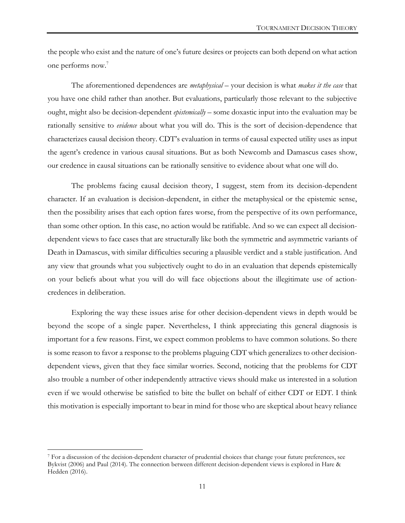the people who exist and the nature of one's future desires or projects can both depend on what action one performs now.<sup>7</sup>

The aforementioned dependences are *metaphysical* – your decision is what *makes it the case* that you have one child rather than another. But evaluations, particularly those relevant to the subjective ought, might also be decision-dependent *epistemically* – some doxastic input into the evaluation may be rationally sensitive to *evidence* about what you will do. This is the sort of decision-dependence that characterizes causal decision theory. CDT's evaluation in terms of causal expected utility uses as input the agent's credence in various causal situations. But as both Newcomb and Damascus cases show, our credence in causal situations can be rationally sensitive to evidence about what one will do.

The problems facing causal decision theory, I suggest, stem from its decision-dependent character. If an evaluation is decision-dependent, in either the metaphysical or the epistemic sense, then the possibility arises that each option fares worse, from the perspective of its own performance, than some other option. In this case, no action would be ratifiable. And so we can expect all decisiondependent views to face cases that are structurally like both the symmetric and asymmetric variants of Death in Damascus, with similar difficulties securing a plausible verdict and a stable justification. And any view that grounds what you subjectively ought to do in an evaluation that depends epistemically on your beliefs about what you will do will face objections about the illegitimate use of actioncredences in deliberation.

Exploring the way these issues arise for other decision-dependent views in depth would be beyond the scope of a single paper. Nevertheless, I think appreciating this general diagnosis is important for a few reasons. First, we expect common problems to have common solutions. So there is some reason to favor a response to the problems plaguing CDT which generalizes to other decisiondependent views, given that they face similar worries. Second, noticing that the problems for CDT also trouble a number of other independently attractive views should make us interested in a solution even if we would otherwise be satisfied to bite the bullet on behalf of either CDT or EDT. I think this motivation is especially important to bear in mind for those who are skeptical about heavy reliance

<sup>7</sup> For a discussion of the decision-dependent character of prudential choices that change your future preferences, see Bykvist (2006) and Paul (2014). The connection between different decision-dependent views is explored in Hare & Hedden (2016).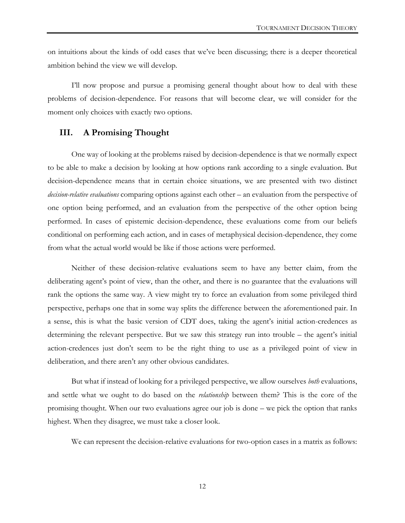on intuitions about the kinds of odd cases that we've been discussing; there is a deeper theoretical ambition behind the view we will develop.

I'll now propose and pursue a promising general thought about how to deal with these problems of decision-dependence. For reasons that will become clear, we will consider for the moment only choices with exactly two options.

## **III. A Promising Thought**

One way of looking at the problems raised by decision-dependence is that we normally expect to be able to make a decision by looking at how options rank according to a single evaluation. But decision-dependence means that in certain choice situations, we are presented with two distinct *decision-relative evaluations* comparing options against each other – an evaluation from the perspective of one option being performed, and an evaluation from the perspective of the other option being performed. In cases of epistemic decision-dependence, these evaluations come from our beliefs conditional on performing each action, and in cases of metaphysical decision-dependence, they come from what the actual world would be like if those actions were performed.

Neither of these decision-relative evaluations seem to have any better claim, from the deliberating agent's point of view, than the other, and there is no guarantee that the evaluations will rank the options the same way. A view might try to force an evaluation from some privileged third perspective, perhaps one that in some way splits the difference between the aforementioned pair. In a sense, this is what the basic version of CDT does, taking the agent's initial action-credences as determining the relevant perspective. But we saw this strategy run into trouble – the agent's initial action-credences just don't seem to be the right thing to use as a privileged point of view in deliberation, and there aren't any other obvious candidates.

But what if instead of looking for a privileged perspective, we allow ourselves *both* evaluations, and settle what we ought to do based on the *relationship* between them? This is the core of the promising thought. When our two evaluations agree our job is done – we pick the option that ranks highest. When they disagree, we must take a closer look.

We can represent the decision-relative evaluations for two-option cases in a matrix as follows: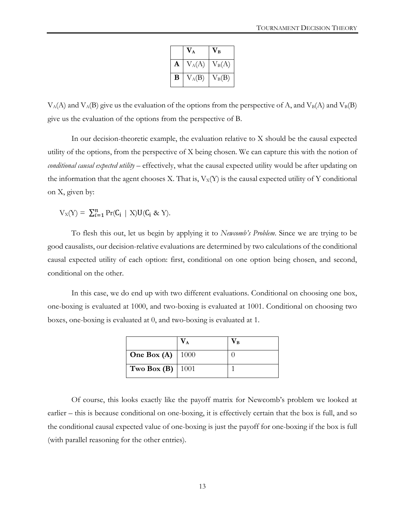|   | V <sub>A</sub> | $\bf V_B$ |
|---|----------------|-----------|
| A | $V_A(A)$       | $V_B(A)$  |
| B | $V_A(B)$       | $V_B(B)$  |

 $V_A(A)$  and  $V_A(B)$  give us the evaluation of the options from the perspective of A, and  $V_B(A)$  and  $V_B(B)$ give us the evaluation of the options from the perspective of B.

In our decision-theoretic example, the evaluation relative to X should be the causal expected utility of the options, from the perspective of X being chosen. We can capture this with the notion of *conditional causal expected utility* – effectively, what the causal expected utility would be after updating on the information that the agent chooses X. That is,  $V_X(Y)$  is the causal expected utility of Y conditional on X, given by:

 $V_X(Y) = \sum_{i=1}^n Pr(C_i | X)U(C_i \& Y).$ 

To flesh this out, let us begin by applying it to *Newcomb's Problem*. Since we are trying to be good causalists, our decision-relative evaluations are determined by two calculations of the conditional causal expected utility of each option: first, conditional on one option being chosen, and second, conditional on the other.

In this case, we do end up with two different evaluations. Conditional on choosing one box, one-boxing is evaluated at 1000, and two-boxing is evaluated at 1001. Conditional on choosing two boxes, one-boxing is evaluated at 0, and two-boxing is evaluated at 1.

|                             | Vв |
|-----------------------------|----|
| <b>One Box (A)</b>   $1000$ |    |
| Two Box (B)   $1001$        |    |

Of course, this looks exactly like the payoff matrix for Newcomb's problem we looked at earlier – this is because conditional on one-boxing, it is effectively certain that the box is full, and so the conditional causal expected value of one-boxing is just the payoff for one-boxing if the box is full (with parallel reasoning for the other entries).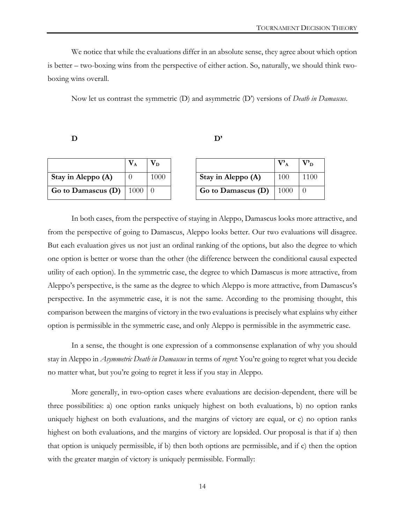We notice that while the evaluations differ in an absolute sense, they agree about which option is better – two-boxing wins from the perspective of either action. So, naturally, we should think twoboxing wins overall.

Now let us contrast the symmetric (D) and asymmetric (D') versions of *Death in Damascus*.

**D D'**

|                    |      | $\mathbf{V_{D}}$ |  |
|--------------------|------|------------------|--|
| Stay in Aleppo (A) |      | 1000             |  |
| Go to Damascus (D) | 1000 |                  |  |

|                    |      | $\mathbf{V'}_\text{D}$ |
|--------------------|------|------------------------|
| Stay in Aleppo (A) | 100  | 1100                   |
| Go to Damascus (D) | 1000 |                        |

In both cases, from the perspective of staying in Aleppo, Damascus looks more attractive, and from the perspective of going to Damascus, Aleppo looks better. Our two evaluations will disagree. But each evaluation gives us not just an ordinal ranking of the options, but also the degree to which one option is better or worse than the other (the difference between the conditional causal expected utility of each option). In the symmetric case, the degree to which Damascus is more attractive, from Aleppo's perspective, is the same as the degree to which Aleppo is more attractive, from Damascus's perspective. In the asymmetric case, it is not the same. According to the promising thought, this comparison between the margins of victory in the two evaluations is precisely what explains why either option is permissible in the symmetric case, and only Aleppo is permissible in the asymmetric case.

In a sense, the thought is one expression of a commonsense explanation of why you should stay in Aleppo in *Asymmetric Death in Damascus* in terms of *regret*: You're going to regret what you decide no matter what, but you're going to regret it less if you stay in Aleppo.

More generally, in two-option cases where evaluations are decision-dependent, there will be three possibilities: a) one option ranks uniquely highest on both evaluations, b) no option ranks uniquely highest on both evaluations, and the margins of victory are equal, or c) no option ranks highest on both evaluations, and the margins of victory are lopsided. Our proposal is that if a) then that option is uniquely permissible, if b) then both options are permissible, and if c) then the option with the greater margin of victory is uniquely permissible. Formally: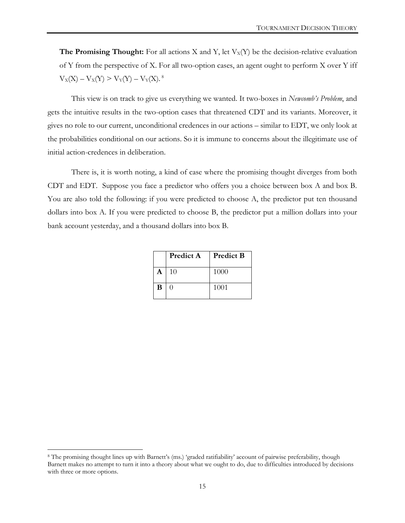**The Promising Thought:** For all actions X and Y, let  $V_X(Y)$  be the decision-relative evaluation of Y from the perspective of X. For all two-option cases, an agent ought to perform X over Y iff  $V_X(X) - V_X(Y) > V_Y(Y) - V_Y(X)$ .<sup>8</sup>

This view is on track to give us everything we wanted. It two-boxes in *Newcomb's Problem*, and gets the intuitive results in the two-option cases that threatened CDT and its variants. Moreover, it gives no role to our current, unconditional credences in our actions – similar to EDT, we only look at the probabilities conditional on our actions. So it is immune to concerns about the illegitimate use of initial action-credences in deliberation.

There is, it is worth noting, a kind of case where the promising thought diverges from both CDT and EDT. Suppose you face a predictor who offers you a choice between box A and box B. You are also told the following: if you were predicted to choose A, the predictor put ten thousand dollars into box A. If you were predicted to choose B, the predictor put a million dollars into your bank account yesterday, and a thousand dollars into box B.

|   | <b>Predict A</b> | <b>Predict B</b> |
|---|------------------|------------------|
| A | 10               | 1000             |
| B |                  | 1001             |

<sup>&</sup>lt;sup>8</sup> The promising thought lines up with Barnett's (ms.) 'graded ratifiability' account of pairwise preferability, though Barnett makes no attempt to turn it into a theory about what we ought to do, due to difficulties introduced by decisions with three or more options.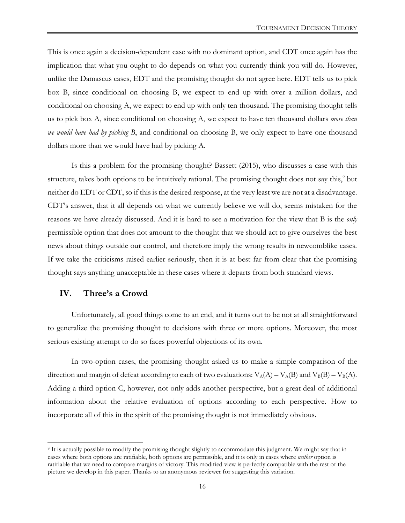This is once again a decision-dependent case with no dominant option, and CDT once again has the implication that what you ought to do depends on what you currently think you will do. However, unlike the Damascus cases, EDT and the promising thought do not agree here. EDT tells us to pick box B, since conditional on choosing B, we expect to end up with over a million dollars, and conditional on choosing A, we expect to end up with only ten thousand. The promising thought tells us to pick box A, since conditional on choosing A, we expect to have ten thousand dollars *more than we would have had by picking B*, and conditional on choosing B, we only expect to have one thousand dollars more than we would have had by picking A.

Is this a problem for the promising thought? Bassett (2015), who discusses a case with this structure, takes both options to be intuitively rational. The promising thought does not say this,<sup>9</sup> but neither do EDT or CDT, so if this is the desired response, at the very least we are not at a disadvantage. CDT's answer, that it all depends on what we currently believe we will do, seems mistaken for the reasons we have already discussed. And it is hard to see a motivation for the view that B is the *only* permissible option that does not amount to the thought that we should act to give ourselves the best news about things outside our control, and therefore imply the wrong results in newcomblike cases. If we take the criticisms raised earlier seriously, then it is at best far from clear that the promising thought says anything unacceptable in these cases where it departs from both standard views.

### **IV. Three's a Crowd**

Unfortunately, all good things come to an end, and it turns out to be not at all straightforward to generalize the promising thought to decisions with three or more options. Moreover, the most serious existing attempt to do so faces powerful objections of its own.

In two-option cases, the promising thought asked us to make a simple comparison of the direction and margin of defeat according to each of two evaluations:  $V_A(A) - V_A(B)$  and  $V_B(B) - V_B(A)$ . Adding a third option C, however, not only adds another perspective, but a great deal of additional information about the relative evaluation of options according to each perspective. How to incorporate all of this in the spirit of the promising thought is not immediately obvious.

<sup>&</sup>lt;sup>9</sup> It is actually possible to modify the promising thought slightly to accommodate this judgment. We might say that in cases where both options are ratifiable, both options are permissible, and it is only in cases where *neither* option is ratifiable that we need to compare margins of victory. This modified view is perfectly compatible with the rest of the picture we develop in this paper. Thanks to an anonymous reviewer for suggesting this variation.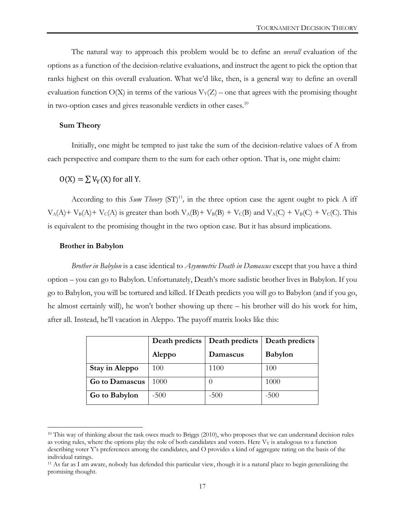The natural way to approach this problem would be to define an *overall* evaluation of the options as a function of the decision-relative evaluations, and instruct the agent to pick the option that ranks highest on this overall evaluation. What we'd like, then, is a general way to define an overall evaluation function  $O(X)$  in terms of the various  $V_Y(Z)$  – one that agrees with the promising thought in two-option cases and gives reasonable verdicts in other cases.<sup>10</sup>

#### **Sum Theory**

Initially, one might be tempted to just take the sum of the decision-relative values of A from each perspective and compare them to the sum for each other option. That is, one might claim:

 $O(X) = \sum V_Y(X)$  for all Y.

According to this *Sum Theory*  $(ST)^{11}$ , in the three option case the agent ought to pick A iff  $V_A(A)$  +  $V_B(A)$  +  $V_C(A)$  is greater than both  $V_A(B)$  +  $V_B(B)$  +  $V_C(B)$  and  $V_A(C)$  +  $V_B(C)$  +  $V_C(C)$ . This is equivalent to the promising thought in the two option case. But it has absurd implications.

#### **Brother in Babylon**

*Brother in Babylon* is a case identical to *Asymmetric Death in Damascus* except that you have a third option – you can go to Babylon. Unfortunately, Death's more sadistic brother lives in Babylon. If you go to Babylon, you will be tortured and killed. If Death predicts you will go to Babylon (and if you go, he almost certainly will), he won't bother showing up there – his brother will do his work for him, after all. Instead, he'll vacation in Aleppo. The payoff matrix looks like this:

|                       | Death predicts | Death predicts | Death predicts |
|-----------------------|----------------|----------------|----------------|
|                       | Aleppo         | Damascus       | <b>Babylon</b> |
| <b>Stay in Aleppo</b> | 100            | 1100           | 100            |
| <b>Go to Damascus</b> | 1000           | U              | 1000           |
| Go to Babylon         | $-500$         | $-500$         | $-500$         |

<sup>&</sup>lt;sup>10</sup> This way of thinking about the task owes much to Briggs (2010), who proposes that we can understand decision rules as voting rules, where the options play the role of both candidates and voters. Here  $V_Y$  is analogous to a function describing voter Y's preferences among the candidates, and O provides a kind of aggregate rating on the basis of the individual ratings.

<sup>11</sup> As far as I am aware, nobody has defended this particular view, though it is a natural place to begin generalizing the promising thought.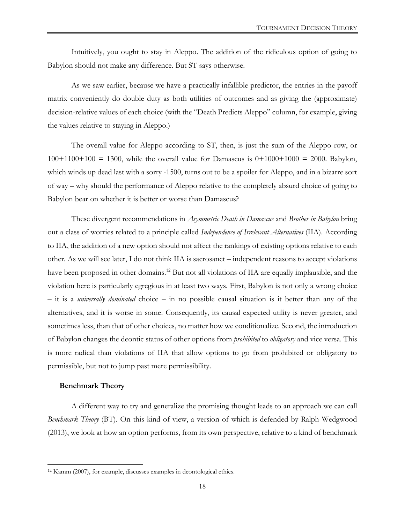Intuitively, you ought to stay in Aleppo. The addition of the ridiculous option of going to Babylon should not make any difference. But ST says otherwise.

As we saw earlier, because we have a practically infallible predictor, the entries in the payoff matrix conveniently do double duty as both utilities of outcomes and as giving the (approximate) decision-relative values of each choice (with the "Death Predicts Aleppo" column, for example, giving the values relative to staying in Aleppo.)

The overall value for Aleppo according to ST, then, is just the sum of the Aleppo row, or  $100+1100+100 = 1300$ , while the overall value for Damascus is  $0+1000+1000 = 2000$ . Babylon, which winds up dead last with a sorry -1500, turns out to be a spoiler for Aleppo, and in a bizarre sort of way – why should the performance of Aleppo relative to the completely absurd choice of going to Babylon bear on whether it is better or worse than Damascus?

These divergent recommendations in *Asymmetric Death in Damascus* and *Brother in Babylon* bring out a class of worries related to a principle called *Independence of Irrelevant Alternatives* (IIA). According to IIA, the addition of a new option should not affect the rankings of existing options relative to each other. As we will see later, I do not think IIA is sacrosanct – independent reasons to accept violations have been proposed in other domains. <sup>12</sup> But not all violations of IIA are equally implausible, and the violation here is particularly egregious in at least two ways. First, Babylon is not only a wrong choice – it is a *universally dominated* choice – in no possible causal situation is it better than any of the alternatives, and it is worse in some. Consequently, its causal expected utility is never greater, and sometimes less, than that of other choices, no matter how we conditionalize. Second, the introduction of Babylon changes the deontic status of other options from *prohibited* to *obligatory* and vice versa. This is more radical than violations of IIA that allow options to go from prohibited or obligatory to permissible, but not to jump past mere permissibility.

#### **Benchmark Theory**

A different way to try and generalize the promising thought leads to an approach we can call *Benchmark Theory* (BT). On this kind of view, a version of which is defended by Ralph Wedgwood (2013), we look at how an option performs, from its own perspective, relative to a kind of benchmark

<sup>12</sup> Kamm (2007), for example, discusses examples in deontological ethics.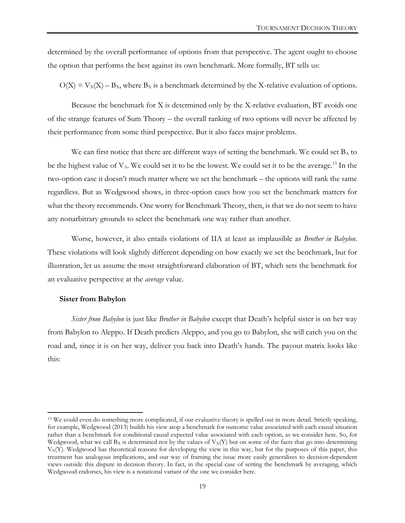determined by the overall performance of options from that perspective. The agent ought to choose the option that performs the best against its own benchmark. More formally, BT tells us:

 $O(X) = V_X(X) - B_X$ , where  $B_X$  is a benchmark determined by the X-relative evaluation of options.

Because the benchmark for X is determined only by the X-relative evaluation, BT avoids one of the strange features of Sum Theory – the overall ranking of two options will never be affected by their performance from some third perspective. But it also faces major problems.

We can first notice that there are different ways of setting the benchmark. We could set  $B_A$  to be the highest value of  $V_A$ . We could set it to be the lowest. We could set it to be the average.<sup>13</sup> In the two-option case it doesn't much matter where we set the benchmark – the options will rank the same regardless. But as Wedgwood shows, in three-option cases how you set the benchmark matters for what the theory recommends. One worry for Benchmark Theory, then, is that we do not seem to have any nonarbitrary grounds to select the benchmark one way rather than another.

Worse, however, it also entails violations of IIA at least as implausible as *Brother in Babylon*. These violations will look slightly different depending on how exactly we set the benchmark, but for illustration, let us assume the most straightforward elaboration of BT, which sets the benchmark for an evaluative perspective at the *average* value.

#### **Sister from Babylon**

*Sister from Babylon* is just like *Brother in Babylon* except that Death's helpful sister is on her way from Babylon to Aleppo. If Death predicts Aleppo, and you go to Babylon, she will catch you on the road and, since it is on her way, deliver you back into Death's hands. The payout matrix looks like this:

<sup>&</sup>lt;sup>13</sup> We could even do something more complicated, if our evaluative theory is spelled out in more detail. Strictly speaking, for example, Wedgwood (2013) builds his view atop a benchmark for outcome value associated with each causal situation rather than a benchmark for conditional causal expected value associated with each option, as we consider here. So, for Wedgwood, what we call  $B_X$  is determined not by the values of  $V_X(Y)$  but on some of the facts that go into determining  $V_X(Y)$ . Wedgwood has theoretical reasons for developing the view in this way, but for the purposes of this paper, this treatment has analogous implications, and our way of framing the issue more easily generalizes to decision-dependent views outside this dispute in decision theory. In fact, in the special case of setting the benchmark by averaging, which Wedgwood endorses, his view is a notational variant of the one we consider here.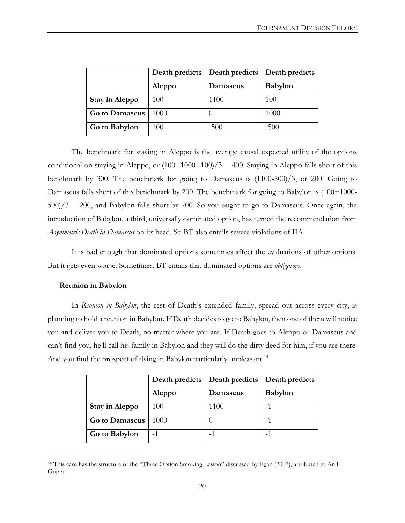|                       | Death predicts | Death predicts | Death predicts |
|-----------------------|----------------|----------------|----------------|
|                       | Aleppo         | Damascus       | <b>Babylon</b> |
| <b>Stay in Aleppo</b> | 100            | 1100           | 100            |
| Go to Damascus        | 1000           |                | 1000           |
| Go to Babylon         | 100            | $-500$         | $-500$         |

The benchmark for staying in Aleppo is the average causal expected utility of the options conditional on staying in Aleppo, or  $(100+100+100)/3 = 400$ . Staying in Aleppo falls short of this benchmark by 300. The benchmark for going to Damascus is  $(1100-500)/3$ , or 200. Going to Damascus falls short of this benchmark by 200. The benchmark for going to Babylon is (100+1000- $500/3 = 200$ , and Babylon falls short by 700. So you ought to go to Damascus. Once again, the introduction of Babylon, a third, universally dominated option, has turned the recommendation from *Asymmetric Death in Damascus* on its head. So BT also entails severe violations of IIA.

It is bad enough that dominated options sometimes affect the evaluations of other options. But it gets even worse. Sometimes, BT entails that dominated options are *obligatory*.

#### **Reunion in Babylon**

In *Reunion in Babylon*, the rest of Death's extended family, spread out across every city, is planning to hold a reunion in Babylon. If Death decides to go to Babylon, then one of them will notice you and deliver you to Death, no matter where you are. If Death goes to Aleppo or Damascus and can't find you, he'll call his family in Babylon and they will do the dirty deed for him, if you are there. And you find the prospect of dying in Babylon particularly unpleasant.<sup>14</sup>

|                       | Death predicts | Death predicts | Death predicts |
|-----------------------|----------------|----------------|----------------|
|                       | Aleppo         | Damascus       | <b>Babylon</b> |
| Stay in Aleppo        | 100            | 1100           | $-1$           |
| <b>Go to Damascus</b> | 1000           |                | -1             |
| Go to Babylon         | $-1$           | $-1$           | $-1$           |

<sup>14</sup> This case has the structure of the "Three Option Smoking Lesion" discussed by Egan (2007), attributed to Anil Gupta.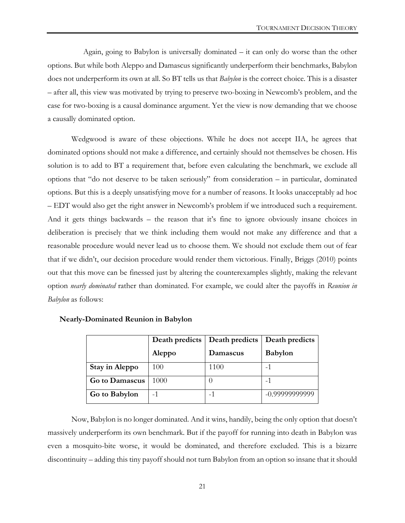Again, going to Babylon is universally dominated – it can only do worse than the other options. But while both Aleppo and Damascus significantly underperform their benchmarks, Babylon does not underperform its own at all. So BT tells us that *Babylon* is the correct choice. This is a disaster – after all, this view was motivated by trying to preserve two-boxing in Newcomb's problem, and the case for two-boxing is a causal dominance argument. Yet the view is now demanding that we choose a causally dominated option.

Wedgwood is aware of these objections. While he does not accept IIA, he agrees that dominated options should not make a difference, and certainly should not themselves be chosen. His solution is to add to BT a requirement that, before even calculating the benchmark, we exclude all options that "do not deserve to be taken seriously" from consideration – in particular, dominated options. But this is a deeply unsatisfying move for a number of reasons. It looks unacceptably ad hoc – EDT would also get the right answer in Newcomb's problem if we introduced such a requirement. And it gets things backwards – the reason that it's fine to ignore obviously insane choices in deliberation is precisely that we think including them would not make any difference and that a reasonable procedure would never lead us to choose them. We should not exclude them out of fear that if we didn't, our decision procedure would render them victorious. Finally, Briggs (2010) points out that this move can be finessed just by altering the counterexamples slightly, making the relevant option *nearly dominated* rather than dominated. For example, we could alter the payoffs in *Reunion in Babylon* as follows:

|                       | Death predicts | Death predicts | Death predicts |
|-----------------------|----------------|----------------|----------------|
|                       | Aleppo         | Damascus       | <b>Babylon</b> |
| Stay in Aleppo        | 100            | 1100           | -1             |
| <b>Go to Damascus</b> | 1000           |                | -1             |
| Go to Babylon         | $-1$           | -1             |                |

**Nearly-Dominated Reunion in Babylon**

Now, Babylon is no longer dominated. And it wins, handily, being the only option that doesn't massively underperform its own benchmark. But if the payoff for running into death in Babylon was even a mosquito-bite worse, it would be dominated, and therefore excluded. This is a bizarre discontinuity – adding this tiny payoff should not turn Babylon from an option so insane that it should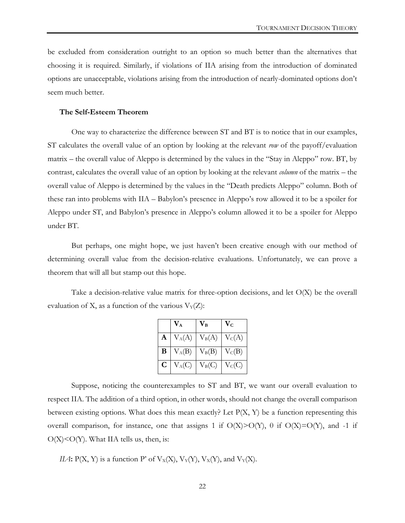be excluded from consideration outright to an option so much better than the alternatives that choosing it is required. Similarly, if violations of IIA arising from the introduction of dominated options are unacceptable, violations arising from the introduction of nearly-dominated options don't seem much better.

#### **The Self-Esteem Theorem**

One way to characterize the difference between ST and BT is to notice that in our examples, ST calculates the overall value of an option by looking at the relevant *row* of the payoff/evaluation matrix – the overall value of Aleppo is determined by the values in the "Stay in Aleppo" row. BT, by contrast, calculates the overall value of an option by looking at the relevant *column* of the matrix – the overall value of Aleppo is determined by the values in the "Death predicts Aleppo" column. Both of these ran into problems with IIA – Babylon's presence in Aleppo's row allowed it to be a spoiler for Aleppo under ST, and Babylon's presence in Aleppo's column allowed it to be a spoiler for Aleppo under BT.

But perhaps, one might hope, we just haven't been creative enough with our method of determining overall value from the decision-relative evaluations. Unfortunately, we can prove a theorem that will all but stamp out this hope.

Take a decision-relative value matrix for three-option decisions, and let  $O(X)$  be the overall evaluation of X, as a function of the various  $V_Y(Z)$ :

|             | $V_A$    | $\bf{V_B}$ | $\mathbf{V_{C}}$ |
|-------------|----------|------------|------------------|
| A           | $V_A(A)$ | $V_B(A)$   | $V_c(A)$         |
| B           | $V_A(B)$ | $V_B(B)$   | $V_c(B)$         |
| $\mathbf C$ | $V_A(C)$ | $V_B(C)$   | $V_{C}(C)$       |

Suppose, noticing the counterexamples to ST and BT, we want our overall evaluation to respect IIA. The addition of a third option, in other words, should not change the overall comparison between existing options. What does this mean exactly? Let  $P(X, Y)$  be a function representing this overall comparison, for instance, one that assigns 1 if  $O(X) > O(Y)$ , 0 if  $O(X) = O(Y)$ , and -1 if  $O(X) < O(Y)$ . What IIA tells us, then, is:

*IIA***:**  $P(X, Y)$  is a function P' of  $V_X(X)$ ,  $V_Y(Y)$ ,  $V_X(Y)$ , and  $V_Y(X)$ .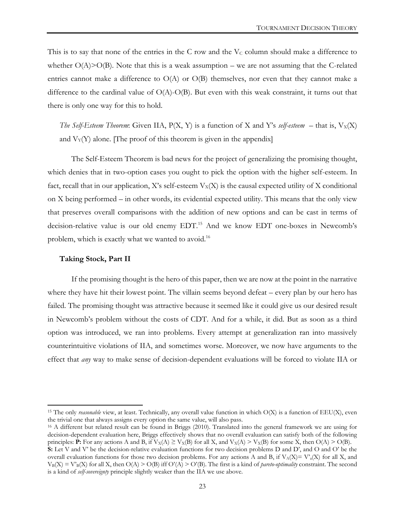This is to say that none of the entries in the C row and the  $V<sub>C</sub>$  column should make a difference to whether  $O(A) > O(B)$ . Note that this is a weak assumption – we are not assuming that the C-related entries cannot make a difference to  $O(A)$  or  $O(B)$  themselves, nor even that they cannot make a difference to the cardinal value of  $O(A)-O(B)$ . But even with this weak constraint, it turns out that there is only one way for this to hold.

*The Self-Esteem Theorem*: Given IIA,  $P(X, Y)$  is a function of X and Y's *self-esteem* – that is,  $V_X(X)$ and  $V_Y(Y)$  alone. [The proof of this theorem is given in the appendix]

The Self-Esteem Theorem is bad news for the project of generalizing the promising thought, which denies that in two-option cases you ought to pick the option with the higher self-esteem. In fact, recall that in our application, X's self-esteem  $V_X(X)$  is the causal expected utility of X conditional on X being performed – in other words, its evidential expected utility. This means that the only view that preserves overall comparisons with the addition of new options and can be cast in terms of decision-relative value is our old enemy EDT.<sup>15</sup> And we know EDT one-boxes in Newcomb's problem, which is exactly what we wanted to avoid.<sup>16</sup>

#### **Taking Stock, Part II**

If the promising thought is the hero of this paper, then we are now at the point in the narrative where they have hit their lowest point. The villain seems beyond defeat – every plan by our hero has failed. The promising thought was attractive because it seemed like it could give us our desired result in Newcomb's problem without the costs of CDT. And for a while, it did. But as soon as a third option was introduced, we ran into problems. Every attempt at generalization ran into massively counterintuitive violations of IIA, and sometimes worse. Moreover, we now have arguments to the effect that *any* way to make sense of decision-dependent evaluations will be forced to violate IIA or

<sup>&</sup>lt;sup>15</sup> The only *reasonable* view, at least. Technically, any overall value function in which O(X) is a function of EEU(X), even the trivial one that always assigns every option the same value, will also pass.

<sup>16</sup> A different but related result can be found in Briggs (2010). Translated into the general framework we are using for decision-dependent evaluation here, Briggs effectively shows that no overall evaluation can satisfy both of the following principles: **P:** For any actions A and B, if  $V_X(A) \ge V_X(B)$  for all X, and  $V_X(A) > V_X(B)$  for some X, then  $O(A) > O(B)$ .

**S:** Let V and V' be the decision-relative evaluation functions for two decision problems D and D', and O and O' be the overall evaluation functions for those two decision problems. For any actions A and B, if  $V_A(X) = V_A(X)$  for all X, and  $V_B(X) = V_B(X)$  for all X, then  $O(A) > O(B)$  iff  $O'(A) > O'(B)$ . The first is a kind of *pareto-optimality* constraint. The second is a kind of *self-sovereignty* principle slightly weaker than the IIA we use above.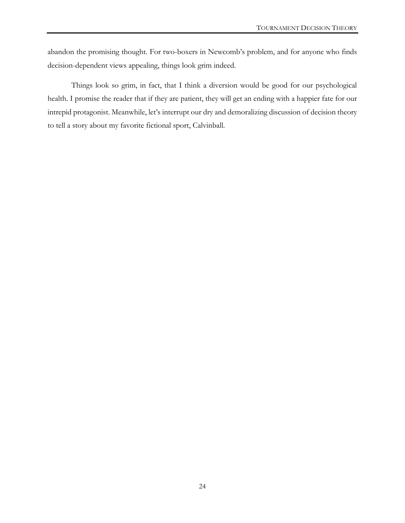abandon the promising thought. For two-boxers in Newcomb's problem, and for anyone who finds decision-dependent views appealing, things look grim indeed.

Things look so grim, in fact, that I think a diversion would be good for our psychological health. I promise the reader that if they are patient, they will get an ending with a happier fate for our intrepid protagonist. Meanwhile, let's interrupt our dry and demoralizing discussion of decision theory to tell a story about my favorite fictional sport, Calvinball.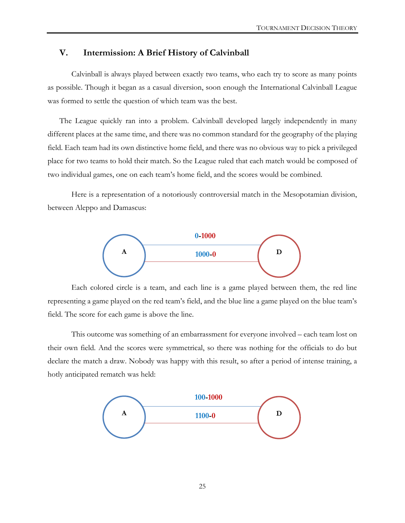## **V. Intermission: A Brief History of Calvinball**

Calvinball is always played between exactly two teams, who each try to score as many points as possible. Though it began as a casual diversion, soon enough the International Calvinball League was formed to settle the question of which team was the best.

The League quickly ran into a problem. Calvinball developed largely independently in many different places at the same time, and there was no common standard for the geography of the playing field. Each team had its own distinctive home field, and there was no obvious way to pick a privileged place for two teams to hold their match. So the League ruled that each match would be composed of two individual games, one on each team's home field, and the scores would be combined.

Here is a representation of a notoriously controversial match in the Mesopotamian division, between Aleppo and Damascus:



Each colored circle is a team, and each line is a game played between them, the red line representing a game played on the red team's field, and the blue line a game played on the blue team's field. The score for each game is above the line.

This outcome was something of an embarrassment for everyone involved – each team lost on their own field. And the scores were symmetrical, so there was nothing for the officials to do but declare the match a draw. Nobody was happy with this result, so after a period of intense training, a hotly anticipated rematch was held:

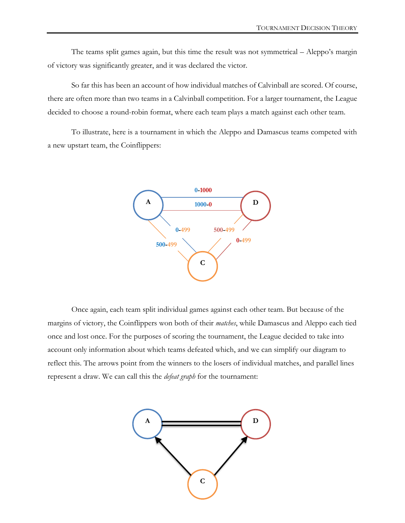The teams split games again, but this time the result was not symmetrical – Aleppo's margin of victory was significantly greater, and it was declared the victor.

So far this has been an account of how individual matches of Calvinball are scored. Of course, there are often more than two teams in a Calvinball competition. For a larger tournament, the League decided to choose a round-robin format, where each team plays a match against each other team.

To illustrate, here is a tournament in which the Aleppo and Damascus teams competed with a new upstart team, the Coinflippers:



Once again, each team split individual games against each other team. But because of the margins of victory, the Coinflippers won both of their *matches*, while Damascus and Aleppo each tied once and lost once. For the purposes of scoring the tournament, the League decided to take into account only information about which teams defeated which, and we can simplify our diagram to reflect this. The arrows point from the winners to the losers of individual matches, and parallel lines represent a draw. We can call this the *defeat graph* for the tournament:

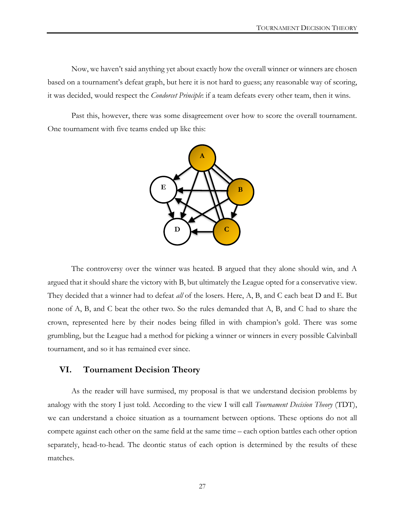Now, we haven't said anything yet about exactly how the overall winner or winners are chosen based on a tournament's defeat graph, but here it is not hard to guess; any reasonable way of scoring, it was decided, would respect the *Condorcet Principle*: if a team defeats every other team, then it wins.

Past this, however, there was some disagreement over how to score the overall tournament. One tournament with five teams ended up like this:



The controversy over the winner was heated. B argued that they alone should win, and A argued that it should share the victory with B, but ultimately the League opted for a conservative view. They decided that a winner had to defeat *all* of the losers. Here, A, B, and C each beat D and E. But none of A, B, and C beat the other two. So the rules demanded that A, B, and C had to share the crown, represented here by their nodes being filled in with champion's gold. There was some grumbling, but the League had a method for picking a winner or winners in every possible Calvinball tournament, and so it has remained ever since.

## **VI. Tournament Decision Theory**

As the reader will have surmised, my proposal is that we understand decision problems by analogy with the story I just told. According to the view I will call *Tournament Decision Theory* (TDT), we can understand a choice situation as a tournament between options. These options do not all compete against each other on the same field at the same time – each option battles each other option separately, head-to-head. The deontic status of each option is determined by the results of these matches.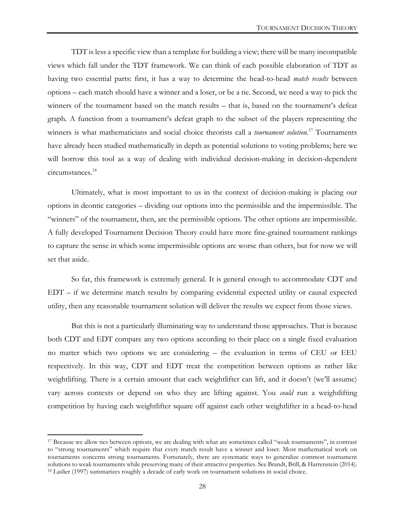TDT is less a specific view than a template for building a view; there will be many incompatible views which fall under the TDT framework. We can think of each possible elaboration of TDT as having two essential parts: first, it has a way to determine the head-to-head *match results* between options – each match should have a winner and a loser, or be a tie. Second, we need a way to pick the winners of the tournament based on the match results – that is, based on the tournament's defeat graph. A function from a tournament's defeat graph to the subset of the players representing the winners is what mathematicians and social choice theorists call a *tournament solution*. <sup>17</sup> Tournaments have already been studied mathematically in depth as potential solutions to voting problems; here we will borrow this tool as a way of dealing with individual decision-making in decision-dependent circumstances. 18

Ultimately, what is most important to us in the context of decision-making is placing our options in deontic categories – dividing our options into the permissible and the impermissible. The "winners" of the tournament, then, are the permissible options. The other options are impermissible. A fully developed Tournament Decision Theory could have more fine-grained tournament rankings to capture the sense in which some impermissible options are worse than others, but for now we will set that aside.

So far, this framework is extremely general. It is general enough to accommodate CDT and EDT – if we determine match results by comparing evidential expected utility or causal expected utility, then any reasonable tournament solution will deliver the results we expect from those views.

But this is not a particularly illuminating way to understand those approaches. That is because both CDT and EDT compare any two options according to their place on a single fixed evaluation no matter which two options we are considering – the evaluation in terms of CEU or EEU respectively. In this way, CDT and EDT treat the competition between options as rather like weightlifting. There is a certain amount that each weightlifter can lift, and it doesn't (we'll assume) vary across contexts or depend on who they are lifting against. You *could* run a weightlifting competition by having each weightlifter square off against each other weightlifter in a head-to-head

<sup>&</sup>lt;sup>17</sup> Because we allow ties between options, we are dealing with what are sometimes called "weak tournaments", in contrast to "strong tournaments" which require that every match result have a winner and loser. Most mathematical work on tournaments concerns strong tournaments. Fortunately, there are systematic ways to generalize common tournament solutions to weak tournaments while preserving many of their attractive properties. See Brandt, Brill, & Harrenstein (2014). <sup>18</sup> Laslier (1997) summarizes roughly a decade of early work on tournament solutions in social choice.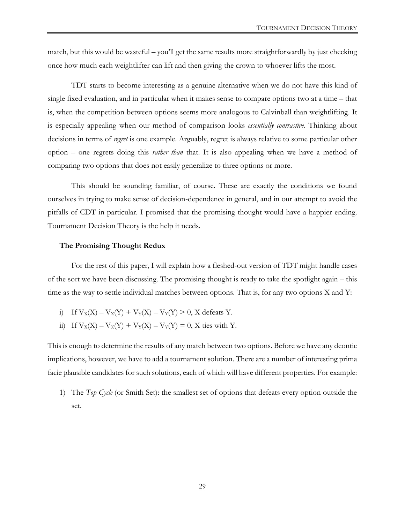match, but this would be wasteful – you'll get the same results more straightforwardly by just checking once how much each weightlifter can lift and then giving the crown to whoever lifts the most.

TDT starts to become interesting as a genuine alternative when we do not have this kind of single fixed evaluation, and in particular when it makes sense to compare options two at a time – that is, when the competition between options seems more analogous to Calvinball than weightlifting. It is especially appealing when our method of comparison looks *essentially contrastive*. Thinking about decisions in terms of *regret* is one example. Arguably, regret is always relative to some particular other option – one regrets doing this *rather than* that. It is also appealing when we have a method of comparing two options that does not easily generalize to three options or more.

This should be sounding familiar, of course. These are exactly the conditions we found ourselves in trying to make sense of decision-dependence in general, and in our attempt to avoid the pitfalls of CDT in particular. I promised that the promising thought would have a happier ending. Tournament Decision Theory is the help it needs.

#### **The Promising Thought Redux**

For the rest of this paper, I will explain how a fleshed-out version of TDT might handle cases of the sort we have been discussing. The promising thought is ready to take the spotlight again – this time as the way to settle individual matches between options. That is, for any two options X and Y:

- i) If  $V_X(X) V_X(Y) + V_Y(X) V_Y(Y) \ge 0$ , X defeats Y.
- ii) If  $V_X(X) V_X(Y) + V_Y(X) V_Y(Y) = 0$ , X ties with Y.

This is enough to determine the results of any match between two options. Before we have any deontic implications, however, we have to add a tournament solution. There are a number of interesting prima facie plausible candidates for such solutions, each of which will have different properties. For example:

1) The *Top Cycle* (or Smith Set): the smallest set of options that defeats every option outside the set.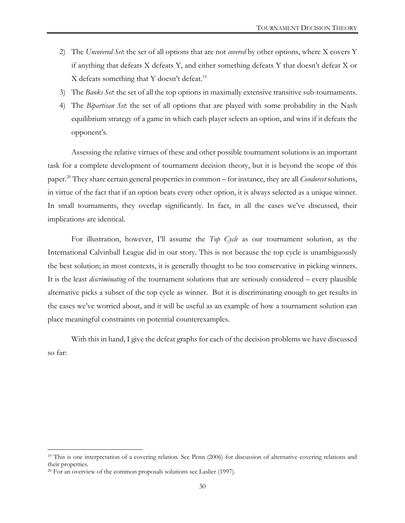- 2) The *Uncovered Set*: the set of all options that are not *covered* by other options, where X covers Y if anything that defeats X defeats Y, and either something defeats Y that doesn't defeat X or X defeats something that Y doesn't defeat.<sup>19</sup>
- 3) The *Banks Set*: the set of all the top options in maximally extensive transitive sub-tournaments.
- 4) The *Bipartisan Set*: the set of all options that are played with some probability in the Nash equilibrium strategy of a game in which each player selects an option, and wins if it defeats the opponent's.

Assessing the relative virtues of these and other possible tournament solutions is an important task for a complete development of tournament decision theory, but it is beyond the scope of this paper.<sup>20</sup> They share certain general properties in common – for instance, they are all *Condorcet* solutions, in virtue of the fact that if an option beats every other option, it is always selected as a unique winner. In small tournaments, they overlap significantly. In fact, in all the cases we've discussed, their implications are identical.

For illustration, however, I'll assume the *Top Cycle* as our tournament solution, as the International Calvinball League did in our story. This is not because the top cycle is unambiguously the best solution; in most contexts, it is generally thought to be too conservative in picking winners. It is the least *discriminating* of the tournament solutions that are seriously considered – every plausible alternative picks a subset of the top cycle as winner. But it is discriminating enough to get results in the cases we've worried about, and it will be useful as an example of how a tournament solution can place meaningful constraints on potential counterexamples.

With this in hand, I give the defeat graphs for each of the decision problems we have discussed so far:

<sup>&</sup>lt;sup>19</sup> This is one interpretation of a covering relation. See Penn (2006) for discussion of alternative covering relations and their properties.

<sup>&</sup>lt;sup>20</sup> For an overview of the common proposals solutions see Laslier (1997).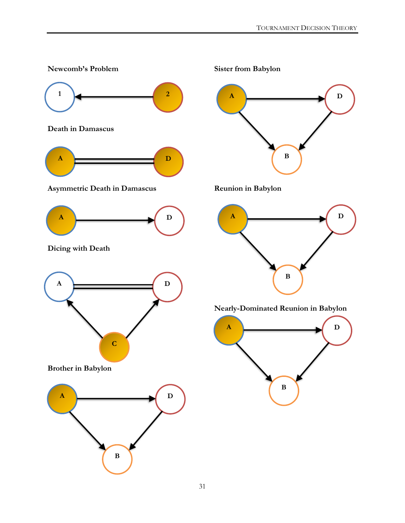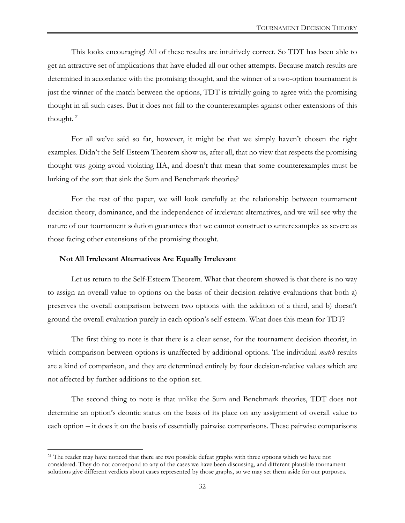This looks encouraging! All of these results are intuitively correct. So TDT has been able to get an attractive set of implications that have eluded all our other attempts. Because match results are determined in accordance with the promising thought, and the winner of a two-option tournament is just the winner of the match between the options, TDT is trivially going to agree with the promising thought in all such cases. But it does not fall to the counterexamples against other extensions of this thought. <sup>21</sup>

For all we've said so far, however, it might be that we simply haven't chosen the right examples. Didn't the Self-Esteem Theorem show us, after all, that no view that respects the promising thought was going avoid violating IIA, and doesn't that mean that some counterexamples must be lurking of the sort that sink the Sum and Benchmark theories?

For the rest of the paper, we will look carefully at the relationship between tournament decision theory, dominance, and the independence of irrelevant alternatives, and we will see why the nature of our tournament solution guarantees that we cannot construct counterexamples as severe as those facing other extensions of the promising thought.

#### **Not All Irrelevant Alternatives Are Equally Irrelevant**

Let us return to the Self-Esteem Theorem. What that theorem showed is that there is no way to assign an overall value to options on the basis of their decision-relative evaluations that both a) preserves the overall comparison between two options with the addition of a third, and b) doesn't ground the overall evaluation purely in each option's self-esteem. What does this mean for TDT?

The first thing to note is that there is a clear sense, for the tournament decision theorist, in which comparison between options is unaffected by additional options. The individual *match* results are a kind of comparison, and they are determined entirely by four decision-relative values which are not affected by further additions to the option set.

The second thing to note is that unlike the Sum and Benchmark theories, TDT does not determine an option's deontic status on the basis of its place on any assignment of overall value to each option – it does it on the basis of essentially pairwise comparisons. These pairwise comparisons

<sup>&</sup>lt;sup>21</sup> The reader may have noticed that there are two possible defeat graphs with three options which we have not considered. They do not correspond to any of the cases we have been discussing, and different plausible tournament solutions give different verdicts about cases represented by those graphs, so we may set them aside for our purposes.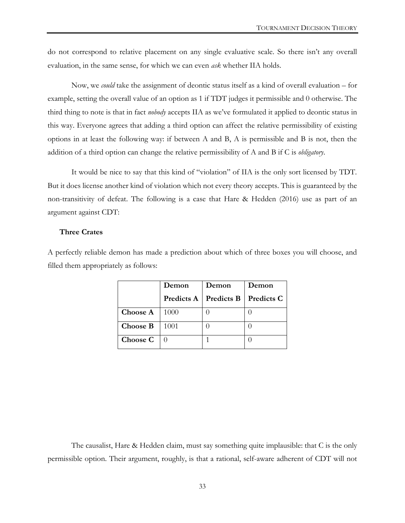do not correspond to relative placement on any single evaluative scale. So there isn't any overall evaluation, in the same sense, for which we can even *ask* whether IIA holds.

Now, we *could* take the assignment of deontic status itself as a kind of overall evaluation – for example, setting the overall value of an option as 1 if TDT judges it permissible and 0 otherwise. The third thing to note is that in fact *nobody* accepts IIA as we've formulated it applied to deontic status in this way. Everyone agrees that adding a third option can affect the relative permissibility of existing options in at least the following way: if between A and B, A is permissible and B is not, then the addition of a third option can change the relative permissibility of A and B if C is *obligatory*.

It would be nice to say that this kind of "violation" of IIA is the only sort licensed by TDT. But it does license another kind of violation which not every theory accepts. This is guaranteed by the non-transitivity of defeat. The following is a case that Hare & Hedden (2016) use as part of an argument against CDT:

#### **Three Crates**

A perfectly reliable demon has made a prediction about which of three boxes you will choose, and filled them appropriately as follows:

|                 | Demon | Demon                                | Demon |
|-----------------|-------|--------------------------------------|-------|
|                 |       | Predicts A   Predicts B   Predicts C |       |
| <b>Choose A</b> | 1000  |                                      |       |
| Choose B        | 1001  |                                      |       |
| <b>Choose C</b> |       |                                      |       |

The causalist, Hare & Hedden claim, must say something quite implausible: that C is the only permissible option. Their argument, roughly, is that a rational, self-aware adherent of CDT will not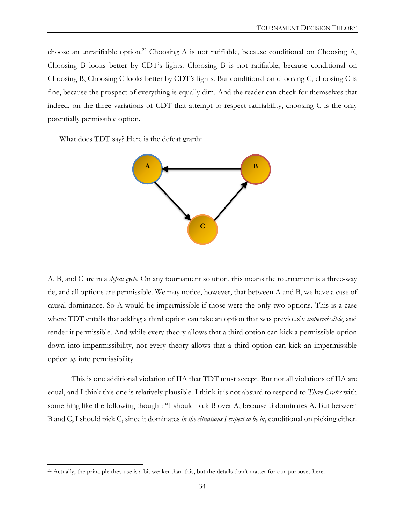choose an unratifiable option.<sup>22</sup> Choosing A is not ratifiable, because conditional on Choosing A, Choosing B looks better by CDT's lights. Choosing B is not ratifiable, because conditional on Choosing B, Choosing C looks better by CDT's lights. But conditional on choosing C, choosing C is fine, because the prospect of everything is equally dim. And the reader can check for themselves that indeed, on the three variations of CDT that attempt to respect ratifiability, choosing C is the only potentially permissible option.

What does TDT say? Here is the defeat graph:



A, B, and C are in a *defeat cycle*. On any tournament solution, this means the tournament is a three-way tie, and all options are permissible. We may notice, however, that between A and B, we have a case of causal dominance. So A would be impermissible if those were the only two options. This is a case where TDT entails that adding a third option can take an option that was previously *impermissible*, and render it permissible. And while every theory allows that a third option can kick a permissible option down into impermissibility, not every theory allows that a third option can kick an impermissible option *up* into permissibility.

This is one additional violation of IIA that TDT must accept. But not all violations of IIA are equal, and I think this one is relatively plausible. I think it is not absurd to respond to *Three Crates* with something like the following thought: "I should pick B over A, because B dominates A. But between B and C, I should pick C, since it dominates *in the situations I expect to be in*, conditional on picking either.

<sup>&</sup>lt;sup>22</sup> Actually, the principle they use is a bit weaker than this, but the details don't matter for our purposes here.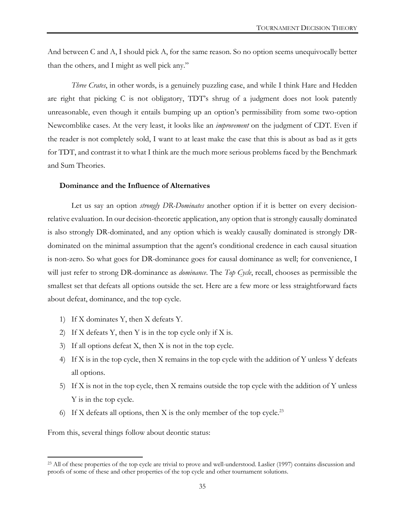And between C and A, I should pick A, for the same reason. So no option seems unequivocally better than the others, and I might as well pick any."

*Three Crates*, in other words, is a genuinely puzzling case, and while I think Hare and Hedden are right that picking C is not obligatory, TDT's shrug of a judgment does not look patently unreasonable, even though it entails bumping up an option's permissibility from some two-option Newcomblike cases. At the very least, it looks like an *improvement* on the judgment of CDT. Even if the reader is not completely sold, I want to at least make the case that this is about as bad as it gets for TDT, and contrast it to what I think are the much more serious problems faced by the Benchmark and Sum Theories.

## **Dominance and the Influence of Alternatives**

Let us say an option *strongly DR-Dominates* another option if it is better on every decisionrelative evaluation. In our decision-theoretic application, any option that is strongly causally dominated is also strongly DR-dominated, and any option which is weakly causally dominated is strongly DRdominated on the minimal assumption that the agent's conditional credence in each causal situation is non-zero. So what goes for DR-dominance goes for causal dominance as well; for convenience, I will just refer to strong DR-dominance as *dominance*. The *Top Cycle*, recall, chooses as permissible the smallest set that defeats all options outside the set. Here are a few more or less straightforward facts about defeat, dominance, and the top cycle.

- 1) If X dominates Y, then X defeats Y.
- 2) If X defeats Y, then Y is in the top cycle only if X is.
- 3) If all options defeat X, then X is not in the top cycle.
- 4) If X is in the top cycle, then X remains in the top cycle with the addition of Y unless Y defeats all options.
- 5) If X is not in the top cycle, then X remains outside the top cycle with the addition of Y unless Y is in the top cycle.
- 6) If X defeats all options, then X is the only member of the top cycle.<sup>23</sup>

From this, several things follow about deontic status:

<sup>&</sup>lt;sup>23</sup> All of these properties of the top cycle are trivial to prove and well-understood. Laslier (1997) contains discussion and proofs of some of these and other properties of the top cycle and other tournament solutions.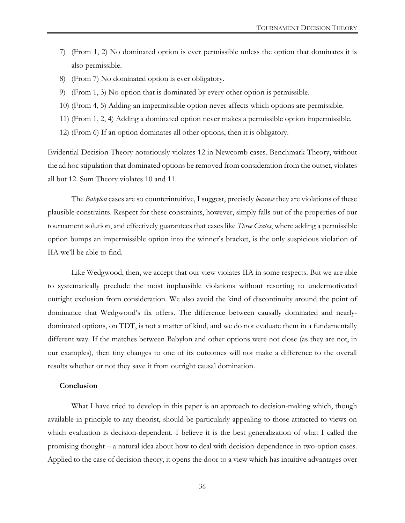- 7) (From 1, 2) No dominated option is ever permissible unless the option that dominates it is also permissible.
- 8) (From 7) No dominated option is ever obligatory.
- 9) (From 1, 3) No option that is dominated by every other option is permissible.
- 10) (From 4, 5) Adding an impermissible option never affects which options are permissible.
- 11) (From 1, 2, 4) Adding a dominated option never makes a permissible option impermissible.
- 12) (From 6) If an option dominates all other options, then it is obligatory.

Evidential Decision Theory notoriously violates 12 in Newcomb cases. Benchmark Theory, without the ad hoc stipulation that dominated options be removed from consideration from the outset, violates all but 12. Sum Theory violates 10 and 11.

The *Babylon* cases are so counterintuitive, I suggest, precisely *because* they are violations of these plausible constraints. Respect for these constraints, however, simply falls out of the properties of our tournament solution, and effectively guarantees that cases like *Three Crates*, where adding a permissible option bumps an impermissible option into the winner's bracket, is the only suspicious violation of IIA we'll be able to find.

Like Wedgwood, then, we accept that our view violates IIA in some respects. But we are able to systematically preclude the most implausible violations without resorting to undermotivated outright exclusion from consideration. We also avoid the kind of discontinuity around the point of dominance that Wedgwood's fix offers. The difference between causally dominated and nearlydominated options, on TDT, is not a matter of kind, and we do not evaluate them in a fundamentally different way. If the matches between Babylon and other options were not close (as they are not, in our examples), then tiny changes to one of its outcomes will not make a difference to the overall results whether or not they save it from outright causal domination.

#### **Conclusion**

What I have tried to develop in this paper is an approach to decision-making which, though available in principle to any theorist, should be particularly appealing to those attracted to views on which evaluation is decision-dependent. I believe it is the best generalization of what I called the promising thought – a natural idea about how to deal with decision-dependence in two-option cases. Applied to the case of decision theory, it opens the door to a view which has intuitive advantages over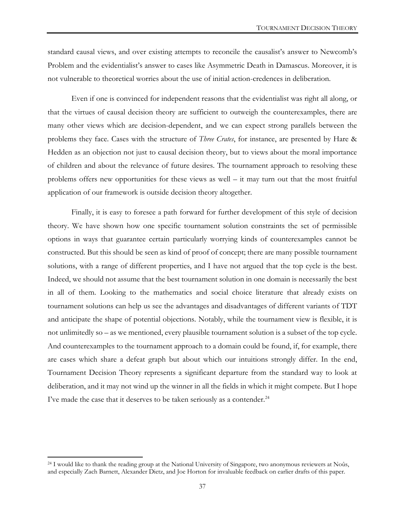standard causal views, and over existing attempts to reconcile the causalist's answer to Newcomb's Problem and the evidentialist's answer to cases like Asymmetric Death in Damascus. Moreover, it is not vulnerable to theoretical worries about the use of initial action-credences in deliberation.

Even if one is convinced for independent reasons that the evidentialist was right all along, or that the virtues of causal decision theory are sufficient to outweigh the counterexamples, there are many other views which are decision-dependent, and we can expect strong parallels between the problems they face. Cases with the structure of *Three Crates*, for instance, are presented by Hare & Hedden as an objection not just to causal decision theory, but to views about the moral importance of children and about the relevance of future desires. The tournament approach to resolving these problems offers new opportunities for these views as well – it may turn out that the most fruitful application of our framework is outside decision theory altogether.

Finally, it is easy to foresee a path forward for further development of this style of decision theory. We have shown how one specific tournament solution constraints the set of permissible options in ways that guarantee certain particularly worrying kinds of counterexamples cannot be constructed. But this should be seen as kind of proof of concept; there are many possible tournament solutions, with a range of different properties, and I have not argued that the top cycle is the best. Indeed, we should not assume that the best tournament solution in one domain is necessarily the best in all of them. Looking to the mathematics and social choice literature that already exists on tournament solutions can help us see the advantages and disadvantages of different variants of TDT and anticipate the shape of potential objections. Notably, while the tournament view is flexible, it is not unlimitedly so – as we mentioned, every plausible tournament solution is a subset of the top cycle. And counterexamples to the tournament approach to a domain could be found, if, for example, there are cases which share a defeat graph but about which our intuitions strongly differ. In the end, Tournament Decision Theory represents a significant departure from the standard way to look at deliberation, and it may not wind up the winner in all the fields in which it might compete. But I hope I've made the case that it deserves to be taken seriously as a contender.<sup>24</sup>

<sup>24</sup> I would like to thank the reading group at the National University of Singapore, two anonymous reviewers at Noûs, and especially Zach Barnett, Alexander Dietz, and Joe Horton for invaluable feedback on earlier drafts of this paper.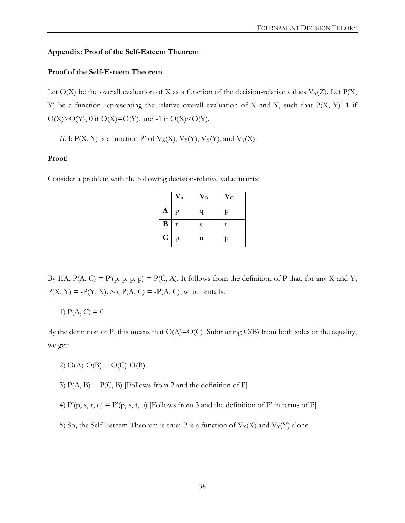### **Appendix: Proof of the Self-Esteem Theorem**

## **Proof of the Self-Esteem Theorem**

Let O(X) be the overall evaluation of X as a function of the decision-relative values  $V_Y(Z)$ . Let P(X, Y) be a function representing the relative overall evaluation of X and Y, such that  $P(X, Y)=1$  if  $O(X) > O(Y)$ , 0 if  $O(X) = O(Y)$ , and -1 if  $O(X) < O(Y)$ .

*IIA*:  $P(X, Y)$  is a function P' of  $V_X(X)$ ,  $V_Y(Y)$ ,  $V_X(Y)$ , and  $V_Y(X)$ .

## **Proof:**

Consider a problem with the following decision-relative value matrix:

|             | $V_{A}$ | $V_B$       | $V_{C}$      |
|-------------|---------|-------------|--------------|
| ${\bf A}$   | p       | $\mathbf q$ | $\mathbf{p}$ |
| $\bf{B}$    | r       | S           | t            |
| $\mathbf C$ | p       | u           | p            |

By IIA,  $P(A, C) = P'(p, p, p, p) = P(C, A)$ . It follows from the definition of P that, for any X and Y,  $P(X, Y) = -P(Y, X)$ . So,  $P(A, C) = -P(A, C)$ , which entails:

1)  $P(A, C) = 0$ 

By the definition of P, this means that  $O(A) = O(C)$ . Subtracting  $O(B)$  from both sides of the equality, we get:

2)  $O(A)$ - $O(B) = O(C)$ - $O(B)$ 

3)  $P(A, B) = P(C, B)$  [Follows from 2 and the definition of P]

4) P'(p, s, r, q) = P'(p, s, t, u) [Follows from 3 and the definition of P' in terms of P]

5) So, the Self-Esteem Theorem is true: P is a function of  $V_X(X)$  and  $V_Y(Y)$  alone.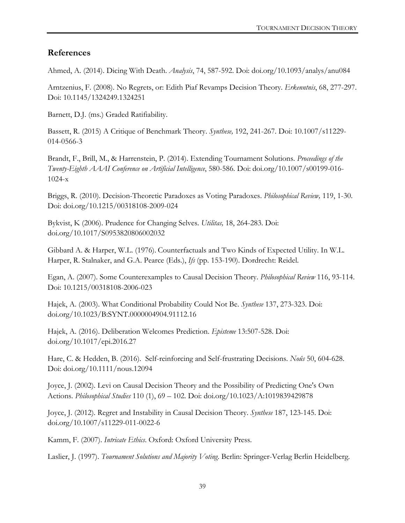## **References**

Ahmed, A. (2014). Dicing With Death. *Analysis*, 74, 587-592. Doi: doi.org/10.1093/analys/anu084

Arntzenius, F. (2008). No Regrets, or: Edith Piaf Revamps Decision Theory. *Erkenntnis*, 68, 277-297. Doi: 10.1145/1324249.1324251

Barnett, D.J. (ms.) Graded Ratifiability.

Bassett, R. (2015) A Critique of Benchmark Theory. *Synthese,* 192, 241-267. Doi: 10.1007/s11229- 014-0566-3

Brandt, F., Brill, M., & Harrenstein, P. (2014). Extending Tournament Solutions. *Proceedings of the Twenty-Eighth AAAI Conference on Artificial Intelligence*, 580-586. Doi: doi.org/10.1007/s00199-016- 1024-x

Briggs, R. (2010). Decision-Theoretic Paradoxes as Voting Paradoxes. *Philosophical Review,* 119, 1-30. Doi: doi.org/10.1215/00318108-2009-024

Bykvist, K (2006). Prudence for Changing Selves. *Utilitas,* 18, 264-283. Doi: doi.org/10.1017/S0953820806002032

Gibbard A. & Harper, W.L. (1976). Counterfactuals and Two Kinds of Expected Utility. In W.L. Harper, R. Stalnaker, and G.A. Pearce (Eds.), *Ifs* (pp. 153-190). Dordrecht: Reidel.

Egan, A. (2007). Some Counterexamples to Causal Decision Theory. *Philosophical Review* 116, 93-114. Doi: 10.1215/00318108-2006-023

Hajek, A. (2003). What Conditional Probability Could Not Be. *Synthese* 137, 273-323. Doi: doi.org/10.1023/B:SYNT.0000004904.91112.16

Hajek, A. (2016). Deliberation Welcomes Prediction. *Episteme* 13:507-528. Doi: doi.org/10.1017/epi.2016.27

Hare, C. & Hedden, B. (2016). Self-reinforcing and Self-frustrating Decisions. *Noûs* 50, 604-628. Doi: doi.org/10.1111/nous.12094

Joyce, J. (2002). Levi on Causal Decision Theory and the Possibility of Predicting One's Own Actions. *Philosophical Studies* 110 (1), 69 – 102. Doi: doi.org/10.1023/A:1019839429878

Joyce, J. (2012). Regret and Instability in Causal Decision Theory. *Synthese* 187, 123-145. Doi: doi.org/10.1007/s11229-011-0022-6

Kamm, F. (2007). *Intricate Ethics*. Oxford: Oxford University Press.

Laslier, J. (1997). *Tournament Solutions and Majority Voting*. Berlin: Springer-Verlag Berlin Heidelberg.